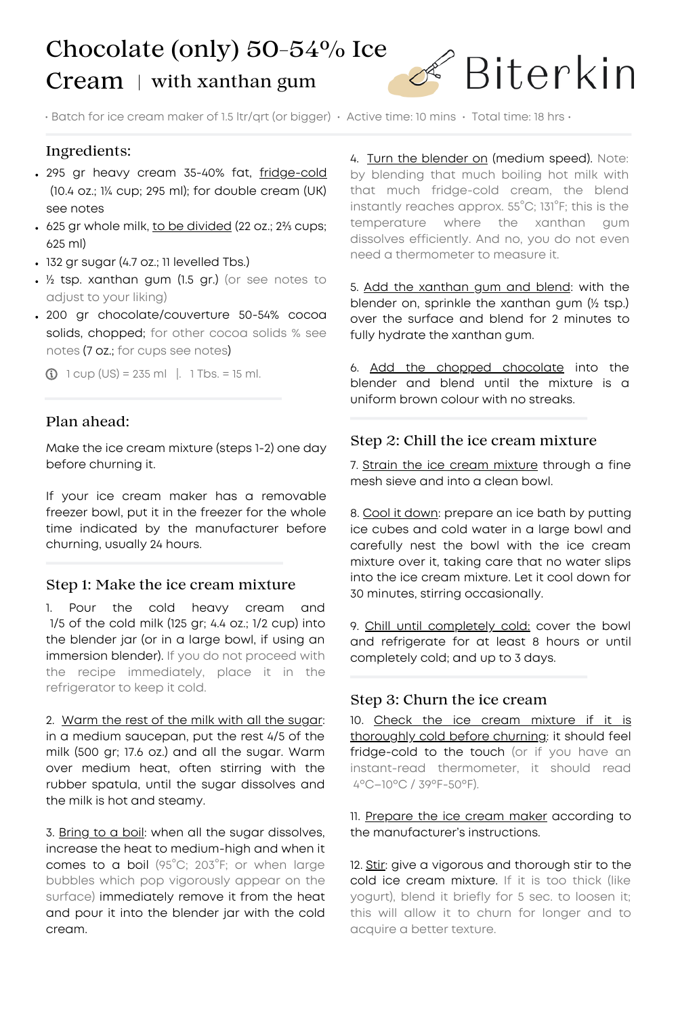# Chocolate (only) 50-54% Ice  $Cream$  | with xanthan gum



 $\cdot$  Batch for ice cream maker of 1.5 ltr/qrt (or bigger)  $\cdot$  Active time: 10 mins  $\cdot$  Total time: 18 hrs  $\cdot$ 

# Ingredients:

- . 295 gr heavy cream 35-40% fat, fridge-cold (10.4 oz.; 1¼ cup; 295 ml); for double cream (UK) see notes
- 625 gr whole milk, to be divided (22 oz.; 2¾ cups; 625 ml)
- 132 gr sugar (4.7 oz.; 11 levelled Tbs.)
- ½ tsp. xanthan gum (1.5 gr.) (or see notes to adjust to your liking)
- 200 gr chocolate/couverture 50-54% cocoa solids, chopped; for other cocoa solids % see notes (7 oz.; for cups see notes)

 $\bigcirc$  1 cup (US) = 235 ml |. 1 Tbs. = 15 ml.

# Plan ahead:

Make the ice cream mixture (steps 1-2) one day before churning it.

If your ice cream maker has a removable freezer bowl, put it in the freezer for the whole time indicated by the manufacturer before churning, usually 24 hours.

### Step 1: Make the ice cream mixture

1. Pour the cold heavy cream and 1/5 of the cold milk (125 gr; 4.4 oz.; 1/2 cup) into the blender jar (or in a large bowl, if using an immersion blender). If you do not proceed with the recipe immediately, place it in the refrigerator to keep it cold.

2. Warm the rest of the milk with all the sugar: in a medium saucepan, put the rest 4/5 of the milk (500 gr; 17.6 oz.) and all the sugar. Warm over medium heat, often stirring with the rubber spatula, until the sugar dissolves and the milk is hot and steamy.

3. Bring to a boil: when all the sugar dissolves, increase the heat to medium-high and when it comes to a boil (95°C; 203°F; or when large bubbles which pop vigorously appear on the surface) immediately remove it from the heat and pour it into the blender jar with the cold cream.

4. Turn the blender on (medium speed). Note: by blending that much boiling hot milk with that much fridge-cold cream, the blend instantly reaches approx. 55°C; 131°F; this is the temperature where the xanthan gum dissolves efficiently. And no, you do not even need a thermometer to measure it.

5. Add the xanthan gum and blend: with the blender on, sprinkle the xanthan gum (½ tsp.) over the surface and blend for 2 minutes to fully hydrate the xanthan gum.

6. Add the chopped chocolate into the blender and blend until the mixture is a uniform brown colour with no streaks.

### Step 2: Chill the ice cream mixture

7. Strain the ice cream mixture through a fine mesh sieve and into a clean bowl.

8. Cool it down: prepare an ice bath by putting ice cubes and cold water in a large bowl and carefully nest the bowl with the ice cream mixture over it, taking care that no water slips into the ice cream mixture. Let it cool down for 30 minutes, stirring occasionally.

9. Chill until completely cold: cover the bowl and refrigerate for at least 8 hours or until completely cold; and up to 3 days.

### Step 3: Churn the ice cream

10. Check the ice cream mixture if it is thoroughly cold before churning: it should feel fridge-cold to the touch (or if you have an instant-read thermometer, it should read 4ºC–10ºC / 39ºF-50ºF).

11. Prepare the ice cream maker according to the manufacturer's instructions.

12. Stir: give a vigorous and thorough stir to the cold ice cream mixture. If it is too thick (like yogurt), blend it briefly for 5 sec. to loosen it; this will allow it to churn for longer and to acquire a better texture.